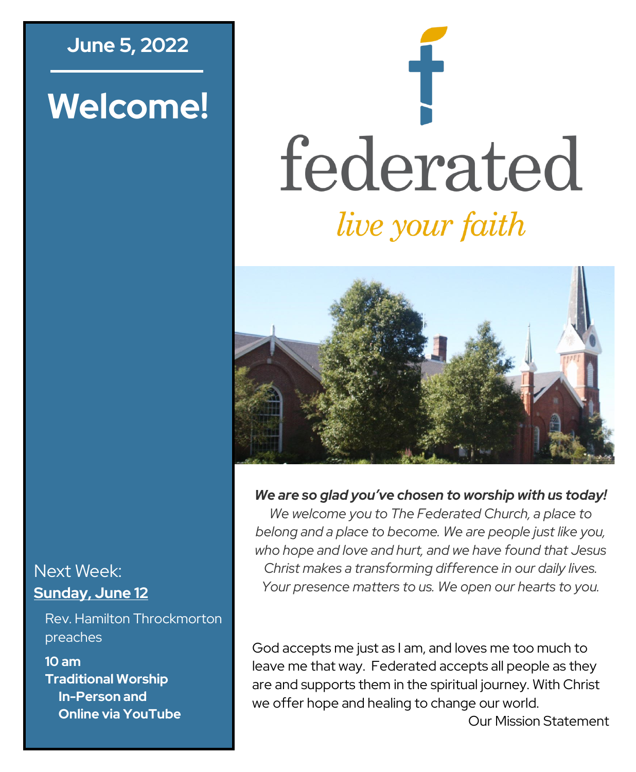## **June 5, 2022**

# **Welcome!**

# federated *live your faith*



#### *We are so glad you've chosen to worship with us today!*

*We welcome you to The Federated Church, a place to belong and a place to become. We are people just like you, who hope and love and hurt, and we have found that Jesus Christ makes a transforming difference in our daily lives. Your presence matters to us. We open our hearts to you.*

God accepts me just as I am, and loves me too much to leave me that way. Federated accepts all people as they are and supports them in the spiritual journey. With Christ we offer hope and healing to change our world.

Next Week: **Sunday, June 12**

Rev. Hamilton Throckmorton preaches

**10 am Traditional Worship In-Person and Online via YouTube**

Our Mission Statement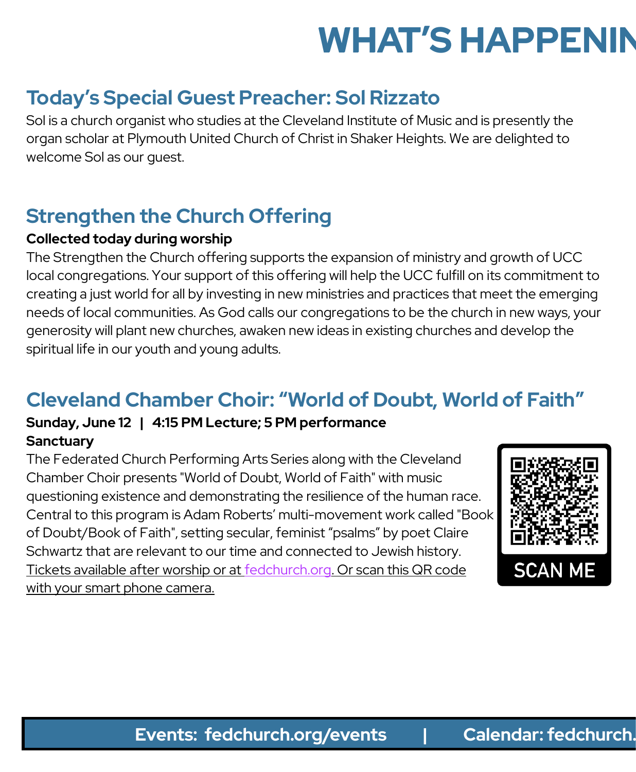# **WHAT'S HAPPENIN**

# **Today's Special Guest Preacher: Sol Rizzato**

Sol is a church organist who studies at the Cleveland Institute of Music and is presently the organ scholar at Plymouth United Church of Christ in Shaker Heights. We are delighted to welcome Sol as our guest.

# **Strengthen the Church Offering**

#### **Collected today during worship**

The Strengthen the Church offering supports the expansion of ministry and growth of UCC local congregations. Your support of this offering will help the UCC fulfill on its commitment to creating a just world for all by investing in new ministries and practices that meet the emerging needs of local communities. As God calls our congregations to be the church in new ways, your generosity will plant new churches, awaken new ideas in existing churches and develop the spiritual life in our youth and young adults.

# **Cleveland Chamber Choir: "World of Doubt, World of Faith"**

#### **Sunday, June 12 | 4:15 PM Lecture; 5 PM performance Sanctuary**

The Federated Church Performing Arts Series along with the Cleveland Chamber Choir presents "World of Doubt, World of Faith" with music questioning existence and demonstrating the resilience of the human race. Central to this program is Adam Roberts' multi-movement work called "Book of Doubt/Book of Faith", setting secular, feminist "psalms" by poet Claire Schwartz that are relevant to our time and connected to Jewish history. Tickets available after worship or at [fedchurch.org.](https://www.fedchurch.org) Or scan this QR code with your smart phone camera.

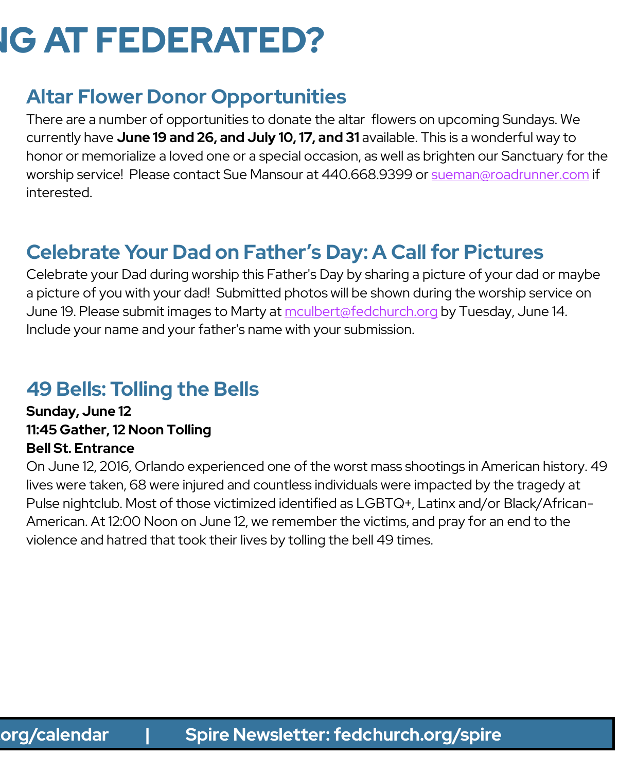# **IG AT FEDERATED?**

# **Altar Flower Donor Opportunities**

There are a number of opportunities to donate the altar flowers on upcoming Sundays. We currently have **June 19 and 26, and July 10, 17, and 31** available. This is a wonderful way to honor or memorialize a loved one or a special occasion, as well as brighten our Sanctuary for the worship service! Please contact Sue Mansour at 440.668.9399 or [sueman@roadrunner.com](mailto:sueman@roadrunner.com) if interested.

# **Celebrate Your Dad on Father's Day: A Call for Pictures**

Celebrate your Dad during worship this Father's Day by sharing a picture of your dad or maybe a picture of you with your dad! Submitted photos will be shown during the worship service on June 19. Please submit images to Marty at [mculbert@fedchurch.org](mailto:mculbert@fedchurch.org) by Tuesday, June 14. Include your name and your father's name with your submission.

## **49 Bells: Tolling the Bells**

**Sunday, June 12 11:45 Gather, 12 Noon Tolling Bell St. Entrance**

On June 12, 2016, Orlando experienced one of the worst mass shootings in American history. 49 lives were taken, 68 were injured and countless individuals were impacted by the tragedy at Pulse nightclub. Most of those victimized identified as LGBTQ+, Latinx and/or Black/African-American. At 12:00 Noon on June 12, we remember the victims, and pray for an end to the violence and hatred that took their lives by tolling the bell 49 times.